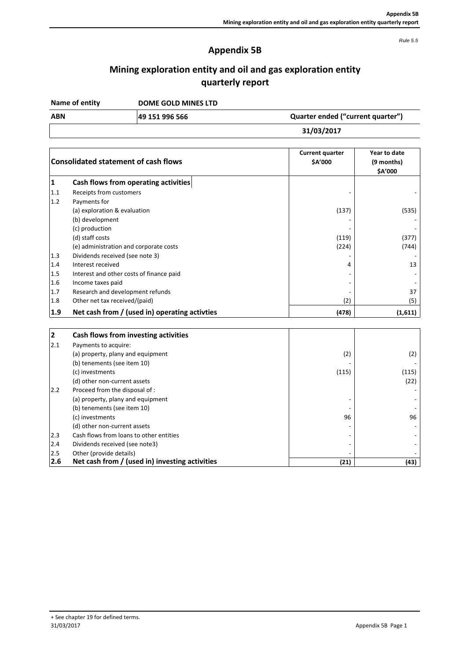*Rule 5.5*

# **Appendix 5B**

# **Mining exploration entity and oil and gas exploration entity quarterly report**

**DOME GOLD MINES LTD Name of entity**

**49 151 996 566 ABN Quarter ended ("current quarter")**

**31/03/2017**

| <b>Consolidated statement of cash flows</b> |                                               | <b>Current quarter</b><br>\$A'000 | Year to date<br>(9 months)<br>\$A'000 |  |
|---------------------------------------------|-----------------------------------------------|-----------------------------------|---------------------------------------|--|
| 1                                           | Cash flows from operating activities          |                                   |                                       |  |
| 1.1                                         | Receipts from customers                       |                                   |                                       |  |
| 1.2                                         | Payments for                                  |                                   |                                       |  |
|                                             | (a) exploration & evaluation                  | (137)                             | (535)                                 |  |
|                                             | (b) development                               |                                   |                                       |  |
|                                             | (c) production                                |                                   |                                       |  |
|                                             | (d) staff costs                               | (119)                             | (377)                                 |  |
|                                             | (e) administration and corporate costs        | (224)                             | (744)                                 |  |
| 1.3                                         | Dividends received (see note 3)               |                                   |                                       |  |
| 1.4                                         | Interest received                             | 4                                 | 13                                    |  |
| 1.5                                         | Interest and other costs of finance paid      |                                   |                                       |  |
| 1.6                                         | Income taxes paid                             |                                   |                                       |  |
| 1.7                                         | Research and development refunds              |                                   | 37                                    |  |
| 1.8                                         | Other net tax received/(paid)                 | (2)                               | (5)                                   |  |
| 1.9                                         | Net cash from / (used in) operating activties | (478)                             | (1,611)                               |  |

| $\mathbf{2}$ | Cash flows from investing activities           |                          |       |
|--------------|------------------------------------------------|--------------------------|-------|
| 2.1          | Payments to acquire:                           |                          |       |
|              | (a) property, plany and equipment              | (2)                      | (2)   |
|              | (b) tenements (see item 10)                    |                          |       |
|              | (c) investments                                | (115)                    | (115) |
|              | (d) other non-current assets                   |                          | (22)  |
| 2.2          | Proceed from the disposal of :                 |                          |       |
|              | (a) property, plany and equipment              |                          |       |
|              | (b) tenements (see item 10)                    |                          |       |
|              | (c) investments                                | 96                       | 96    |
|              | (d) other non-current assets                   |                          |       |
| 2.3          | Cash flows from loans to other entities        |                          |       |
| 2.4          | Dividends received (see note3)                 |                          |       |
| 2.5          | Other (provide details)                        | $\overline{\phantom{0}}$ |       |
| 2.6          | Net cash from / (used in) investing activities | (21)                     | (43)  |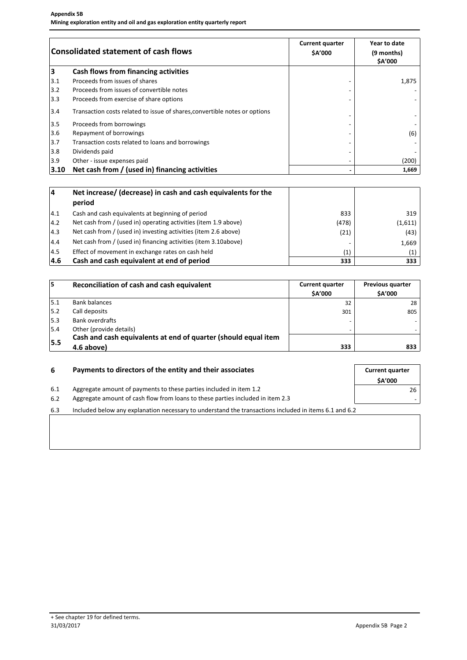| <b>Consolidated statement of cash flows</b> |                                                                            | <b>Current quarter</b><br>\$A'000 | Year to date<br>(9 months)<br>\$A'000 |
|---------------------------------------------|----------------------------------------------------------------------------|-----------------------------------|---------------------------------------|
| 3                                           | Cash flows from financing activities                                       |                                   |                                       |
| 3.1                                         | Proceeds from issues of shares                                             |                                   | 1,875                                 |
| 3.2                                         | Proceeds from issues of convertible notes                                  |                                   |                                       |
| 3.3                                         | Proceeds from exercise of share options                                    |                                   |                                       |
| 3.4                                         | Transaction costs related to issue of shares, convertible notes or options |                                   |                                       |
| 3.5                                         | Proceeds from borrowings                                                   |                                   |                                       |
| 3.6                                         | Repayment of borrowings                                                    |                                   | (6)                                   |
| 3.7                                         | Transaction costs related to loans and borrowings                          |                                   |                                       |
| 3.8                                         | Dividends paid                                                             |                                   |                                       |
| 3.9                                         | Other - issue expenses paid                                                | $\overline{\phantom{0}}$          | (200)                                 |
| 3.10                                        | Net cash from / (used in) financing activities                             | -                                 | 1,669                                 |

| 14            | Net increase/ (decrease) in cash and cash equivalents for the<br>period |       |                   |
|---------------|-------------------------------------------------------------------------|-------|-------------------|
| 4.1           | Cash and cash equivalents at beginning of period                        | 833   | 319               |
| $ 4.2\rangle$ | Net cash from / (used in) operating activities (item 1.9 above)         | (478) | (1,611)           |
| 4.3           | Net cash from / (used in) investing activities (item 2.6 above)         | (21)  | (43)              |
| 4.4           | Net cash from / (used in) financing activities (item 3.10above)         |       | 1,669             |
| 4.5           | Effect of movement in exchange rates on cash held                       | (1)   | $\left( 1\right)$ |
| 4.6           | Cash and cash equivalent at end of period                               | 333   | 333               |

| 15  | Reconciliation of cash and cash equivalent                     | <b>Current quarter</b><br><b>SA'000</b> | <b>Previous quarter</b><br><b>SA'000</b> |
|-----|----------------------------------------------------------------|-----------------------------------------|------------------------------------------|
| 5.1 | <b>Bank balances</b>                                           | 32                                      | 28                                       |
| 5.2 | Call deposits                                                  | 301                                     | 805                                      |
| 5.3 | <b>Bank overdrafts</b>                                         |                                         |                                          |
| 5.4 | Other (provide details)                                        | -                                       |                                          |
| 5.5 | Cash and cash equivalents at end of quarter (should equal item |                                         |                                          |
|     | 4.6 above)                                                     | 333                                     | 833                                      |

| 6   | Payments to directors of the entity and their associates                                              |               |
|-----|-------------------------------------------------------------------------------------------------------|---------------|
|     |                                                                                                       | <b>SA'000</b> |
| 6.1 | Aggregate amount of payments to these parties included in item 1.2                                    | 26            |
| 6.2 | Aggregate amount of cash flow from loans to these parties included in item 2.3                        |               |
| 6.3 | Included below any explanation necessary to understand the transactions included in items 6.1 and 6.2 |               |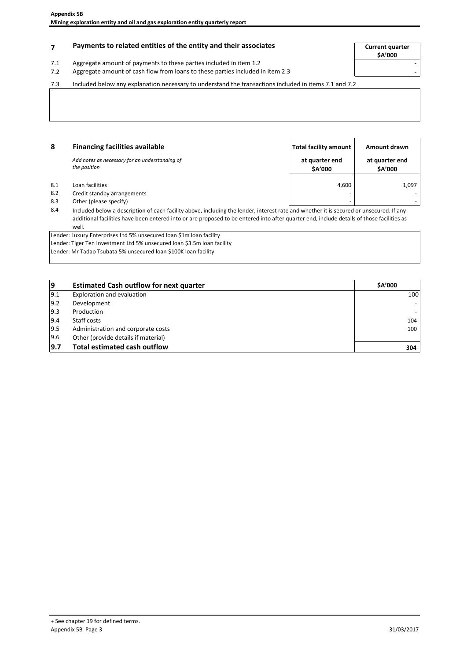## **Payments to related entities of the entity and their associates Current quarter**

- 7.1 Aggregate amount of payments to these parties included in item 1.2
- 7.2 Aggregate amount of cash flow from loans to these parties included in item 2.3

**\$A'000**

7.3 Included below any explanation necessary to understand the transactions included in items 7.1 and 7.2

| 8   | <b>Financing facilities available</b>          | Total facility amount | Amount drawn   |
|-----|------------------------------------------------|-----------------------|----------------|
|     | Add notes as necessary for an understanding of | at quarter end        | at quarter end |
|     | the position                                   | \$A'000               | \$A'000        |
| 8.1 | Loan facilities                                | 4,600                 | 1,097          |
| 8.2 | Credit standby arrangements                    | -                     |                |
| 8.3 | Other (please specify)                         | -                     |                |

8.4 Included below a description of each facility above, including the lender, interest rate and whether it is secured or unsecured. If any additional facilities have been entered into or are proposed to be entered into after quarter end, include details of those facilities as well.

Lender: Luxury Enterprises Ltd 5% unsecured loan \$1m loan facility Lender: Tiger Ten Investment Ltd 5% unsecured loan \$3.5m loan facility Lender: Mr Tadao Tsubata 5% unsecured loan \$100K loan facility

| وا  | <b>Estimated Cash outflow for next quarter</b> | <b>SA'000</b> |
|-----|------------------------------------------------|---------------|
| 9.1 | Exploration and evaluation                     | 100           |
| 9.2 | Development                                    |               |
| 9.3 | Production                                     |               |
| 9.4 | Staff costs                                    | 104           |
| 9.5 | Administration and corporate costs             | 100           |
| 9.6 | Other (provide details if material)            |               |
| 9.7 | <b>Total estimated cash outflow</b>            | 304           |